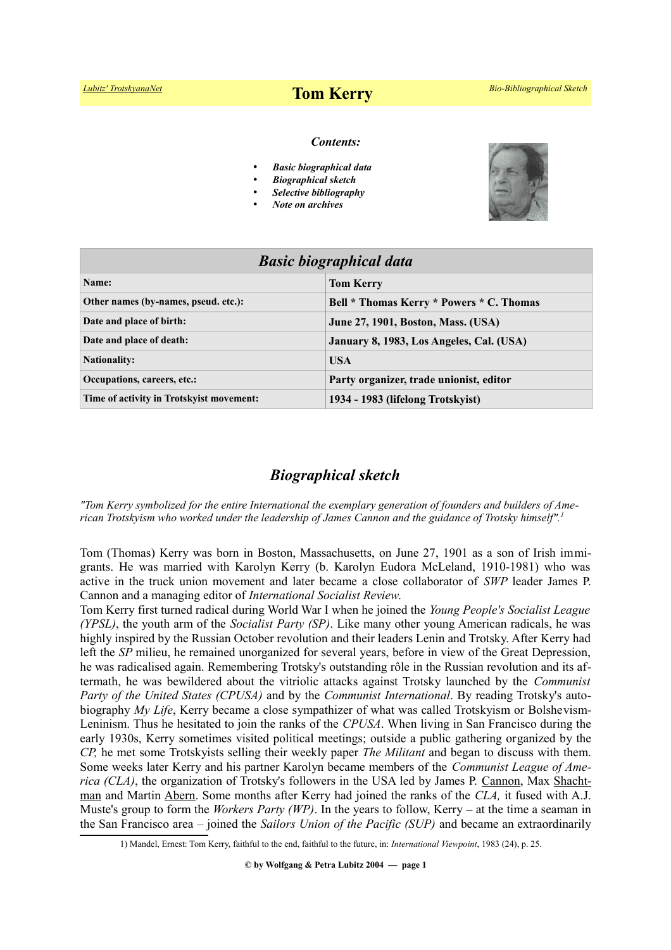# *[Lubitz' TrotskyanaNet](http://www.trotskyana.net/)* **Tom Kerry** *Bio-Bibliographical Sketch*

#### *Contents:*

- *Basic biographical data*
- *Biographical sketch*
- *Selective bibliography*
- *Note on archives*



| <b>Basic biographical data</b>           |                                           |
|------------------------------------------|-------------------------------------------|
| Name:                                    | <b>Tom Kerry</b>                          |
| Other names (by-names, pseud. etc.):     | Bell * Thomas Kerry * Powers * C. Thomas  |
| Date and place of birth:                 | <b>June 27, 1901, Boston, Mass. (USA)</b> |
| Date and place of death:                 | January 8, 1983, Los Angeles, Cal. (USA)  |
| <b>Nationality:</b>                      | <b>USA</b>                                |
| Occupations, careers, etc.:              | Party organizer, trade unionist, editor   |
| Time of activity in Trotskyist movement: | 1934 - 1983 (lifelong Trotskyist)         |

# *Biographical sketch*

*"Tom Kerry symbolized for the entire International the exemplary generation of founders and builders of American Trotskyism who worked under the leadership of James Cannon and the guidance of Trotsky himself".[1](#page-0-0)*

Tom (Thomas) Kerry was born in Boston, Massachusetts, on June 27, 1901 as a son of Irish immigrants. He was married with Karolyn Kerry (b. Karolyn Eudora McLeland, 1910-1981) who was active in the truck union movement and later became a close collaborator of *SWP* leader James P. Cannon and a managing editor of *International Socialist Review*.

Tom Kerry first turned radical during World War I when he joined the *Young People's Socialist League (YPSL)*, the youth arm of the *Socialist Party (SP)*. Like many other young American radicals, he was highly inspired by the Russian October revolution and their leaders Lenin and Trotsky. After Kerry had left the *SP* milieu, he remained unorganized for several years, before in view of the Great Depression, he was radicalised again. Remembering Trotsky's outstanding rôle in the Russian revolution and its aftermath, he was bewildered about the vitriolic attacks against Trotsky launched by the *Communist Party of the United States (CPUSA)* and by the *Communist International*. By reading Trotsky's autobiography *My Life*, Kerry became a close sympathizer of what was called Trotskyism or Bolshevism-Leninism. Thus he hesitated to join the ranks of the *CPUSA*. When living in San Francisco during the early 1930s, Kerry sometimes visited political meetings; outside a public gathering organized by the *CP,* he met some Trotskyists selling their weekly paper *The Militant* and began to discuss with them. Some weeks later Kerry and his partner Karolyn became members of the *Communist League of America (CLA)*, the organization of Trotsky's followers in the USA led by James P. [Cannon,](http://www.trotskyana.net/Trotskyists/Bio-Bibliographies/bio-bibl_cannon.pdf) Max Shacht[man](http://www.trotskyana.net/Trotskyists/Bio-Bibliographies/bio-bibl_shachtman.pdf) and Martin [Abern.](http://www.trotskyana.net/Trotskyists/Bio-Bibliographies/bio-bibl_abern.pdf) Some months after Kerry had joined the ranks of the *CLA,* it fused with A.J. Muste's group to form the *Workers Party (WP)*. In the years to follow, Kerry *–* at the time a seaman in the San Francisco area *–* joined the *Sailors Union of the Pacific (SUP)* and became an extraordinarily

<span id="page-0-0"></span><sup>1)</sup> Mandel, Ernest: Tom Kerry, faithful to the end, faithful to the future, in: *International Viewpoint*, 1983 (24), p. 25.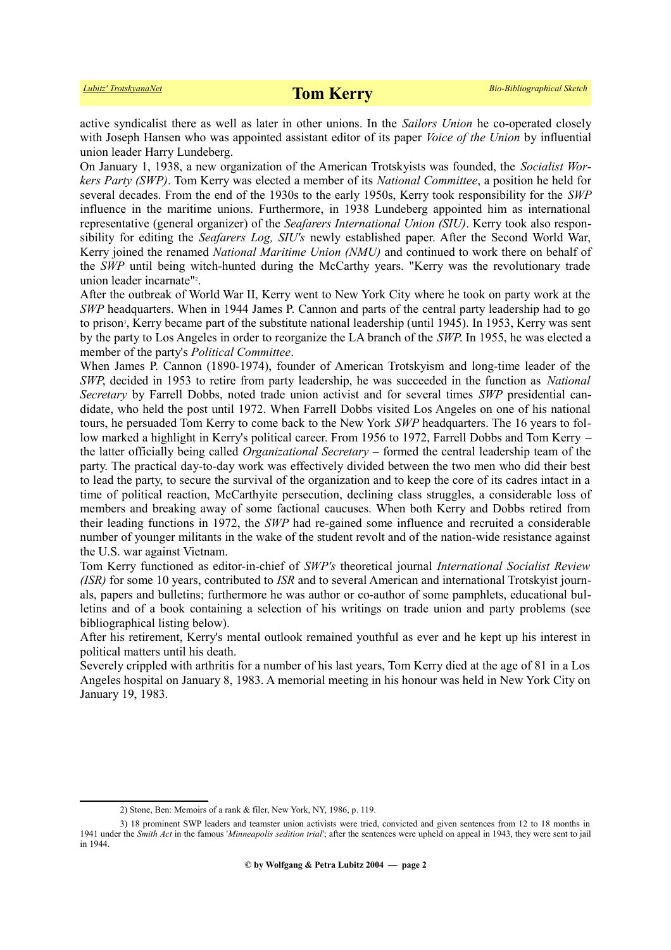active syndicalist there as well as later in other unions. In the *Sailors Union* he co-operated closely with Joseph Hansen who was appointed assistant editor of its paper *Voice of the Union* by influential union leader Harry Lundeberg.

On January 1, 1938, a new organization of the American Trotskyists was founded, the *Socialist Workers Party (SWP)*. Tom Kerry was elected a member of its *National Committee*, a position he held for several decades. From the end of the 1930s to the early 1950s, Kerry took responsibility for the *SWP* influence in the maritime unions. Furthermore, in 1938 Lundeberg appointed him as international representative (general organizer) of the *Seafarers International Union (SIU)*. Kerry took also responsibility for editing the *Seafarers Log, SIU's* newly established paper. After the Second World War, Kerry joined the renamed *National Maritime Union (NMU)* and continued to work there on behalf of the *SWP* until being witch-hunted during the McCarthy years. "Kerry was the revolutionary trade union leader incarnate["](#page-1-0)<sup>2</sup>.

After the outbreak of World War II, Kerry went to New York City where he took on party work at the *SWP* headquarters. When in 1944 James P. Cannon and parts of the central party leadership had to go to prison<sup>[3](#page-1-1)</sup>, Kerry became part of the substitute national leadership (until 1945). In 1953, Kerry was sent by the party to Los Angeles in order to reorganize the LA branch of the *SWP*. In 1955, he was elected a member of the party's *Political Committee*.

When James P. Cannon (1890-1974), founder of American Trotskyism and long-time leader of the *SWP*, decided in 1953 to retire from party leadership, he was succeeded in the function as *National Secretary* by Farrell Dobbs, noted trade union activist and for several times *SWP* presidential candidate, who held the post until 1972. When Farrell Dobbs visited Los Angeles on one of his national tours, he persuaded Tom Kerry to come back to the New York *SWP* headquarters. The 16 years to follow marked a highlight in Kerry's political career. From 1956 to 1972, Farrell Dobbs and Tom Kerry *–* the latter officially being called *Organizational Secretary –* formed the central leadership team of the party. The practical day-to-day work was effectively divided between the two men who did their best to lead the party, to secure the survival of the organization and to keep the core of its cadres intact in a time of political reaction, McCarthyite persecution, declining class struggles, a considerable loss of members and breaking away of some factional caucuses. When both Kerry and Dobbs retired from their leading functions in 1972, the *SWP* had re-gained some influence and recruited a considerable number of younger militants in the wake of the student revolt and of the nation-wide resistance against the U.S. war against Vietnam.

Tom Kerry functioned as editor-in-chief of *SWP's* theoretical journal *International Socialist Review (ISR)* for some 10 years, contributed to *ISR* and to several American and international Trotskyist journals, papers and bulletins; furthermore he was author or co-author of some pamphlets, educational bulletins and of a book containing a selection of his writings on trade union and party problems (see bibliographical listing below).

After his retirement, Kerry's mental outlook remained youthful as ever and he kept up his interest in political matters until his death.

Severely crippled with arthritis for a number of his last years, Tom Kerry died at the age of 81 in a Los Angeles hospital on January 8, 1983. A memorial meeting in his honour was held in New York City on January 19, 1983.

<span id="page-1-1"></span><span id="page-1-0"></span><sup>2)</sup> Stone, Ben: Memoirs of a rank & filer, New York, NY, 1986, p. 119.

<sup>3) 18</sup> prominent SWP leaders and teamster union activists were tried, convicted and given sentences from 12 to 18 months in 1941 under the *Smith Act* in the famous '*Minneapolis sedition trial*'; after the sentences were upheld on appeal in 1943, they were sent to jail in 1944.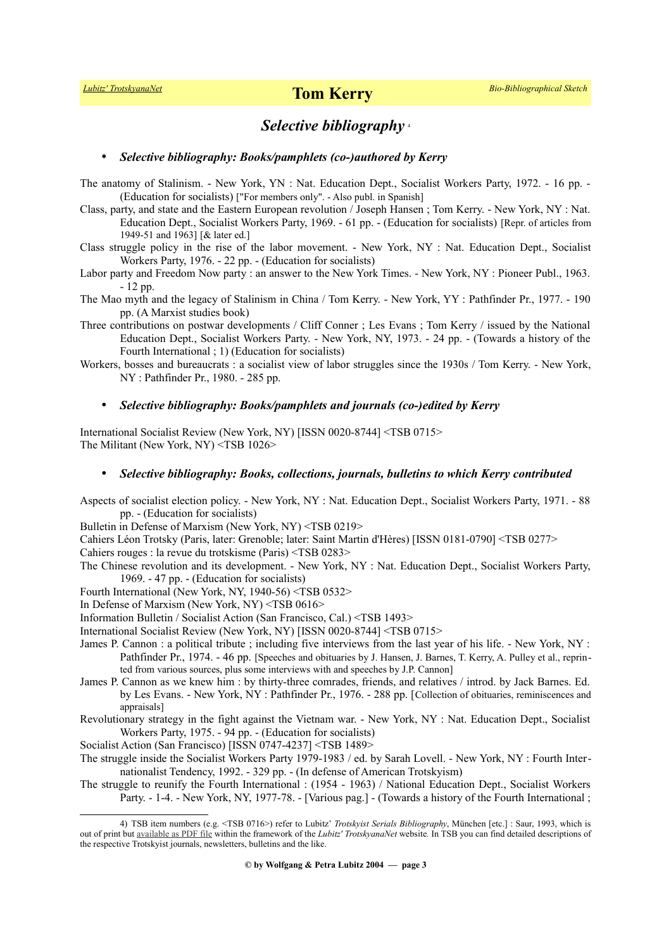## *Selective bibliography* [4](#page-2-0)

### • *Selective bibliography: Books/pamphlets (co-)authored by Kerry*

The anatomy of Stalinism. - New York, YN : Nat. Education Dept., Socialist Workers Party, 1972. - 16 pp. - (Education for socialists) ["For members only". - Also publ. in Spanish]

- Class, party, and state and the Eastern European revolution / Joseph Hansen ; Tom Kerry. New York, NY : Nat. Education Dept., Socialist Workers Party, 1969. - 61 pp. - (Education for socialists) [Repr. of articles from 1949-51 and 1963] [& later ed.]
- Class struggle policy in the rise of the labor movement. New York, NY : Nat. Education Dept., Socialist Workers Party, 1976. - 22 pp. - (Education for socialists)

Labor party and Freedom Now party : an answer to the New York Times. - New York, NY : Pioneer Publ., 1963. - 12 pp.

- The Mao myth and the legacy of Stalinism in China / Tom Kerry. New York, YY : Pathfinder Pr., 1977. 190 pp. (A Marxist studies book)
- Three contributions on postwar developments / Cliff Conner ; Les Evans ; Tom Kerry / issued by the National Education Dept., Socialist Workers Party. - New York, NY, 1973. - 24 pp. - (Towards a history of the Fourth International ; 1) (Education for socialists)
- Workers, bosses and bureaucrats : a socialist view of labor struggles since the 1930s / Tom Kerry. New York, NY : Pathfinder Pr., 1980. - 285 pp.

### • *Selective bibliography: Books/pamphlets and journals (co-)edited by Kerry*

International Socialist Review (New York, NY) [ISSN 0020-8744] <TSB 0715> The Militant (New York, NY) <TSB 1026>

#### • *Selective bibliography: Books, collections, journals, bulletins to which Kerry contributed*

Aspects of socialist election policy. - New York, NY : Nat. Education Dept., Socialist Workers Party, 1971. - 88 pp. - (Education for socialists)

Bulletin in Defense of Marxism (New York, NY) <TSB 0219>

Cahiers Léon Trotsky (Paris, later: Grenoble; later: Saint Martin d'Hères) [ISSN 0181-0790] <TSB 0277>

Cahiers rouges : la revue du trotskisme (Paris) <TSB 0283>

The Chinese revolution and its development. - New York, NY : Nat. Education Dept., Socialist Workers Party, 1969. - 47 pp. - (Education for socialists)

Fourth International (New York, NY, 1940-56) <TSB 0532>

In Defense of Marxism (New York, NY) <TSB 0616>

Information Bulletin / Socialist Action (San Francisco, Cal.) <TSB 1493>

International Socialist Review (New York, NY) [ISSN 0020-8744] <TSB 0715>

- James P. Cannon : a political tribute ; including five interviews from the last year of his life. New York, NY : Pathfinder Pr., 1974. - 46 pp. [Speeches and obituaries by J. Hansen, J. Barnes, T. Kerry, A. Pulley et al., reprinted from various sources, plus some interviews with and speeches by J.P. Cannon]
- James P. Cannon as we knew him : by thirty-three comrades, friends, and relatives / introd. by Jack Barnes. Ed. by Les Evans. - New York, NY : Pathfinder Pr., 1976. - 288 pp. [Collection of obituaries, reminiscences and appraisals]
- Revolutionary strategy in the fight against the Vietnam war. New York, NY : Nat. Education Dept., Socialist Workers Party, 1975. - 94 pp. - (Education for socialists)

Socialist Action (San Francisco) [ISSN 0747-4237] <TSB 1489>

- The struggle inside the Socialist Workers Party 1979-1983 / ed. by Sarah Lovell. New York, NY : Fourth Internationalist Tendency, 1992. - 329 pp. - (In defense of American Trotskyism)
- The struggle to reunify the Fourth International : (1954 1963) / National Education Dept., Socialist Workers Party. - 1-4. - New York, NY, 1977-78. - [Various pag.] - (Towards a history of the Fourth International ;

<span id="page-2-0"></span><sup>4)</sup> TSB item numbers (e.g. <TSB 0716>) refer to Lubitz' *Trotskyist Serials Bibliography*, München [etc.] : Saur, 1993, which is out of print but <u>available as PDF file</u> within the framework of the *Lubitz' TrotskyanaNet* website. In TSB you can find detailed descriptions of the respective Trotskyist journals, newsletters, bulletins and the like.